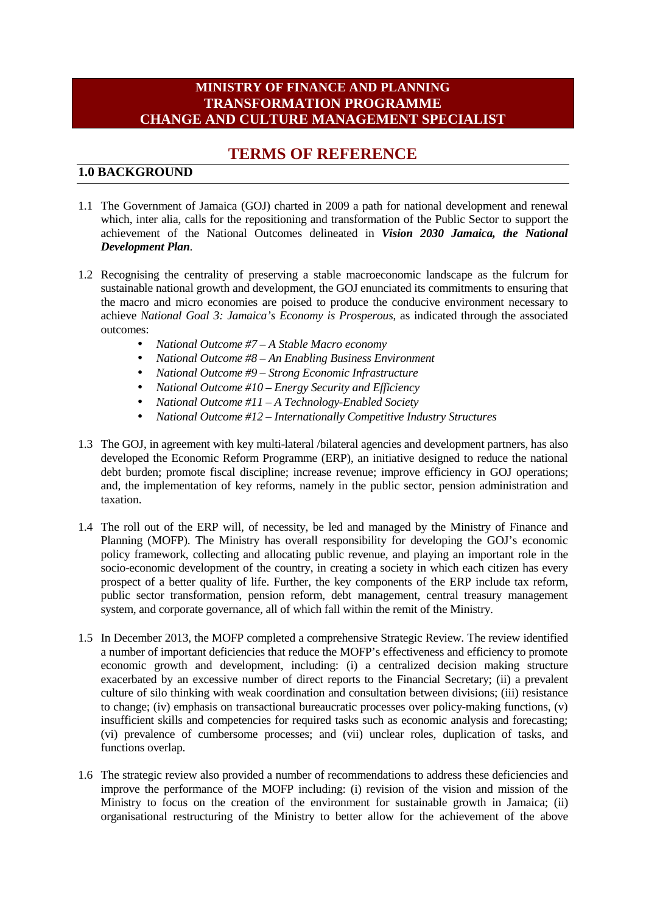# **MINISTRY OF FINANCE AND PLANNING TRANSFORMATION PROGRAMME CHANGE AND CULTURE MANAGEMENT SPECIALIST**

# **TERMS OF REFERENCE**

### **1.0 BACKGROUND**

- 1.1 The Government of Jamaica (GOJ) charted in 2009 a path for national development and renewal which, inter alia, calls for the repositioning and transformation of the Public Sector to support the achievement of the National Outcomes delineated in *Vision 2030 Jamaica, the National Development Plan*.
- 1.2 Recognising the centrality of preserving a stable macroeconomic landscape as the fulcrum for sustainable national growth and development, the GOJ enunciated its commitments to ensuring that the macro and micro economies are poised to produce the conducive environment necessary to achieve *National Goal 3: Jamaica's Economy is Prosperous*, as indicated through the associated outcomes:
	- *National Outcome #7 – A Stable Macro economy*
	- *National Outcome #8 – An Enabling Business Environment*
	- *National Outcome #9 – Strong Economic Infrastructure*
	- *National Outcome #10 – Energy Security and Efficiency*
	- *National Outcome #11 – A Technology-Enabled Society*
	- *National Outcome #12 – Internationally Competitive Industry Structures*
- 1.3 The GOJ, in agreement with key multi-lateral /bilateral agencies and development partners, has also developed the Economic Reform Programme (ERP), an initiative designed to reduce the national debt burden; promote fiscal discipline; increase revenue; improve efficiency in GOJ operations; and, the implementation of key reforms, namely in the public sector, pension administration and taxation.
- 1.4 The roll out of the ERP will, of necessity, be led and managed by the Ministry of Finance and Planning (MOFP). The Ministry has overall responsibility for developing the GOJ's economic policy framework, collecting and allocating public revenue, and playing an important role in the socio-economic development of the country, in creating a society in which each citizen has every prospect of a better quality of life. Further, the key components of the ERP include tax reform, public sector transformation, pension reform, debt management, central treasury management system, and corporate governance, all of which fall within the remit of the Ministry.
- 1.5 In December 2013, the MOFP completed a comprehensive Strategic Review. The review identified a number of important deficiencies that reduce the MOFP's effectiveness and efficiency to promote economic growth and development, including: (i) a centralized decision making structure exacerbated by an excessive number of direct reports to the Financial Secretary; (ii) a prevalent culture of silo thinking with weak coordination and consultation between divisions; (iii) resistance to change; (iv) emphasis on transactional bureaucratic processes over policy-making functions, (v) insufficient skills and competencies for required tasks such as economic analysis and forecasting; (vi) prevalence of cumbersome processes; and (vii) unclear roles, duplication of tasks, and functions overlap.
- 1.6 The strategic review also provided a number of recommendations to address these deficiencies and improve the performance of the MOFP including: (i) revision of the vision and mission of the Ministry to focus on the creation of the environment for sustainable growth in Jamaica; (ii) organisational restructuring of the Ministry to better allow for the achievement of the above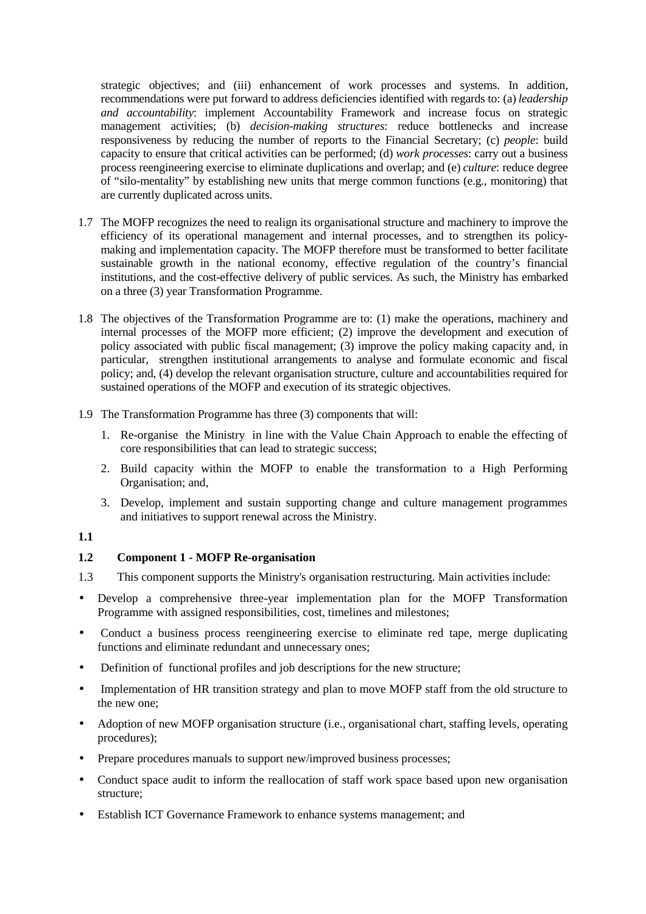strategic objectives; and (iii) enhancement of work processes and systems. In addition, recommendations were put forward to address deficiencies identified with regards to: (a) *leadership and accountability*: implement Accountability Framework and increase focus on strategic management activities; (b) *decision-making structures*: reduce bottlenecks and increase responsiveness by reducing the number of reports to the Financial Secretary; (c) *people*: build capacity to ensure that critical activities can be performed; (d) *work processes*: carry out a business process reengineering exercise to eliminate duplications and overlap; and (e) *culture*: reduce degree of "silo-mentality" by establishing new units that merge common functions (e.g., monitoring) that are currently duplicated across units.

- 1.7 The MOFP recognizes the need to realign its organisational structure and machinery to improve the efficiency of its operational management and internal processes, and to strengthen its policy making and implementation capacity. The MOFP therefore must be transformed to better facilitate sustainable growth in the national economy, effective regulation of the country's financial institutions, and the cost-effective delivery of public services. As such, the Ministry has embarked on a three (3) year Transformation Programme.
- 1.8 The objectives of the Transformation Programme are to: (1) make the operations, machinery and internal processes of the MOFP more efficient; (2) improve the development and execution of policy associated with public fiscal management; (3) improve the policy making capacity and, in particular, strengthen institutional arrangements to analyse and formulate economic and fiscal policy; and, (4) develop the relevant organisation structure, culture and accountabilities required for sustained operations of the MOFP and execution of its strategic objectives.
- 1.9 The Transformation Programme has three (3) components that will:
	- 1. Re-organise the Ministry in line with the Value Chain Approach to enable the effecting of core responsibilities that can lead to strategic success;
	- 2. Build capacity within the MOFP to enable the transformation to a High Performing Organisation; and,
	- 3. Develop, implement and sustain supporting change and culture management programmes and initiatives to support renewal across the Ministry.

#### **1.1**

### **1.2 Component 1 - MOFP Re-organisation**

- 1.3 This component supports the Ministry's organisation restructuring. Main activities include:
- Develop a comprehensive three-year implementation plan for the MOFP Transformation Programme with assigned responsibilities, cost, timelines and milestones;
- Conduct a business process reengineering exercise to eliminate red tape, merge duplicating functions and eliminate redundant and unnecessary ones;
- Definition of functional profiles and job descriptions for the new structure;
- Implementation of HR transition strategy and plan to move MOFP staff from the old structure to the new one;
- Adoption of new MOFP organisation structure (i.e., organisational chart, staffing levels, operating procedures);
- Prepare procedures manuals to support new/improved business processes;
- Conduct space audit to inform the reallocation of staff work space based upon new organisation structure;
- Establish ICT Governance Framework to enhance systems management; and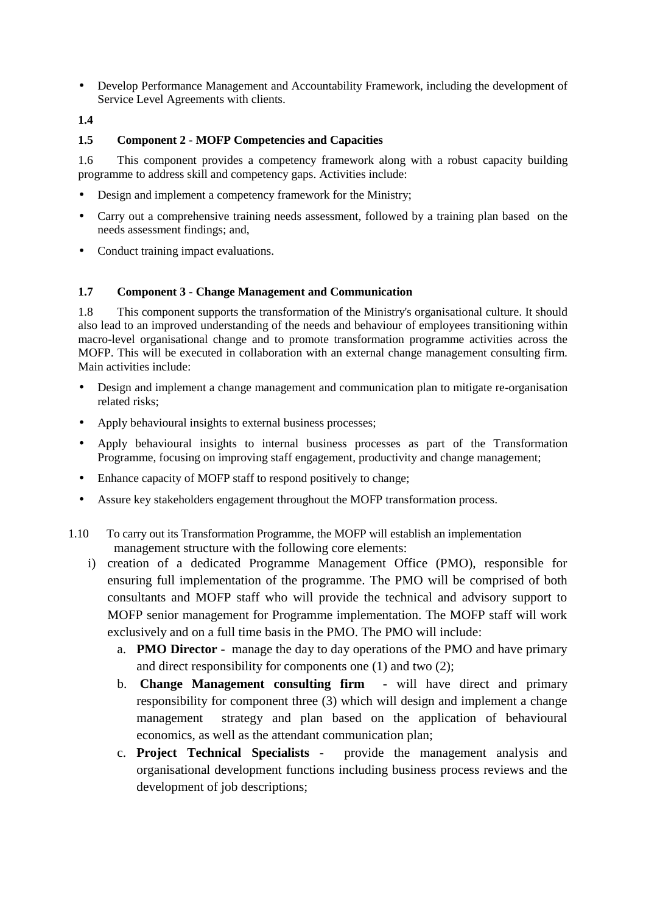- Develop Performance Management and Accountability Framework, including the development of Service Level Agreements with clients.
- **1.4**

#### **1.5 Component 2 - MOFP Competencies and Capacities**

1.6 This component provides a competency framework along with a robust capacity building programme to address skill and competency gaps. Activities include:

- Design and implement a competency framework for the Ministry;
- Carry out a comprehensive training needs assessment, followed by a training plan based on the needs assessment findings; and,
- Conduct training impact evaluations.

#### **1.7 Component 3 - Change Management and Communication**

1.8 This component supports the transformation of the Ministry's organisational culture. It should also lead to an improved understanding of the needs and behaviour of employees transitioning within macro-level organisational change and to promote transformation programme activities across the MOFP. This will be executed in collaboration with an external change management consulting firm. Main activities include:

- Design and implement a change management and communication plan to mitigate re-organisation related risks;
- Apply behavioural insights to external business processes;
- Apply behavioural insights to internal business processes as part of the Transformation Programme, focusing on improving staff engagement, productivity and change management;
- Enhance capacity of MOFP staff to respond positively to change;
- Assure key stakeholders engagement throughout the MOFP transformation process.
- 1.10 To carry out its Transformation Programme, the MOFP will establish an implementation management structure with the following core elements:
	- i) creation of a dedicated Programme Management Office (PMO), responsible for ensuring full implementation of the programme. The PMO will be comprised of both consultants and MOFP staff who will provide the technical and advisory support to MOFP senior management for Programme implementation. The MOFP staff will work exclusively and on a full time basis in the PMO. The PMO will include:
		- a. **PMO Director** manage the day to day operations of the PMO and have primary and direct responsibility for components one (1) and two (2);
		- b. **Change Management consulting firm** will have direct and primary responsibility for component three (3) which will design and implement a change management strategy and plan based on the application of behavioural economics, as well as the attendant communication plan;
		- c. **Project Technical Specialists** provide the management analysis and organisational development functions including business process reviews and the development of job descriptions;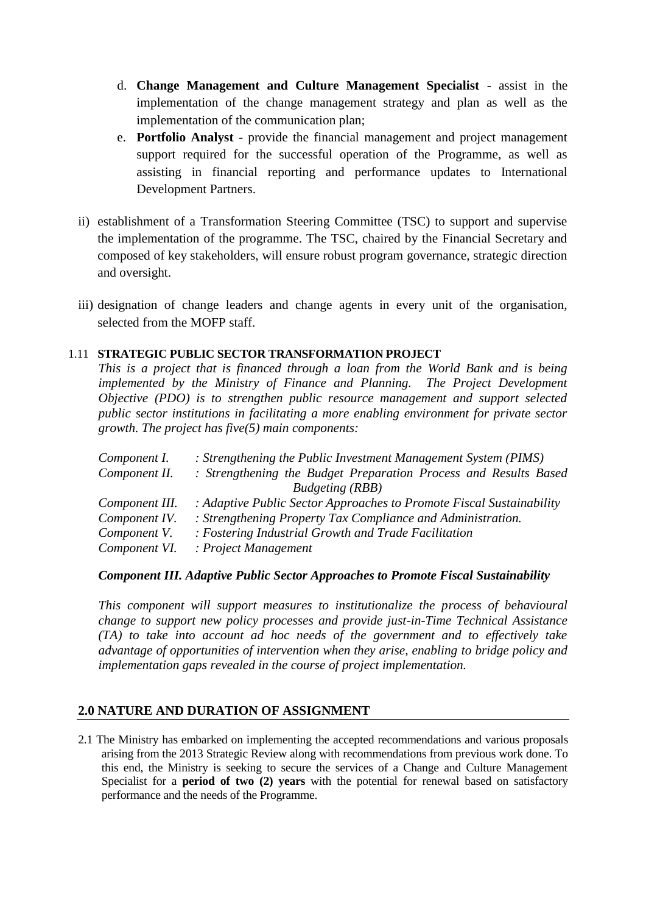- d. **Change Management and Culture Management Specialist** assist in the implementation of the change management strategy and plan as well as the implementation of the communication plan;
- e. **Portfolio Analyst** provide the financial management and project management support required for the successful operation of the Programme, as well as assisting in financial reporting and performance updates to International Development Partners.
- ii) establishment of a Transformation Steering Committee (TSC) to support and supervise the implementation of the programme. The TSC, chaired by the Financial Secretary and composed of key stakeholders, will ensure robust program governance, strategic direction and oversight.
- iii) designation of change leaders and change agents in every unit of the organisation, selected from the MOFP staff.

### 1.11 **STRATEGIC PUBLIC SECTOR TRANSFORMATION PROJECT**

*This is a project that is financed through a loan from the World Bank and is being implemented by the Ministry of Finance and Planning. The Project Development Objective (PDO) is to strengthen public resource management and support selected public sector institutions in facilitating a more enabling environment for private sector growth. The project has five(5) main components:*

| : Strengthening the Public Investment Management System (PIMS)       |
|----------------------------------------------------------------------|
| : Strengthening the Budget Preparation Process and Results Based     |
| <b>Budgeting</b> (RBB)                                               |
| : Adaptive Public Sector Approaches to Promote Fiscal Sustainability |
| : Strengthening Property Tax Compliance and Administration.          |
| : Fostering Industrial Growth and Trade Facilitation                 |
| : Project Management                                                 |
|                                                                      |

### *Component III. Adaptive Public Sector Approaches to Promote Fiscal Sustainability*

*This component will support measures to institutionalize the process of behavioural change to support new policy processes and provide just-in-Time Technical Assistance (TA) to take into account ad hoc needs of the government and to effectively take advantage of opportunities of intervention when they arise, enabling to bridge policy and implementation gaps revealed in the course of project implementation.*

# **2.0 NATURE AND DURATION OF ASSIGNMENT**

2.1 The Ministry has embarked on implementing the accepted recommendations and various proposals arising from the 2013 Strategic Review along with recommendations from previous work done. To this end, the Ministry is seeking to secure the services of a Change and Culture Management Specialist for a **period of two (2) years** with the potential for renewal based on satisfactory performance and the needs of the Programme.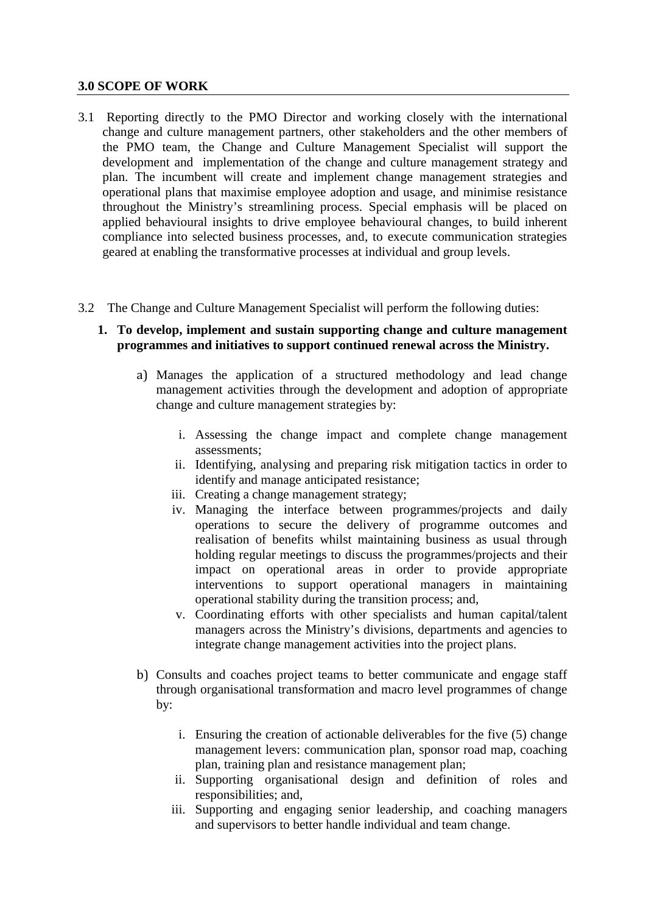### **3.0 SCOPE OF WORK**

- 3.1 Reporting directly to the PMO Director and working closely with the international change and culture management partners, other stakeholders and the other members of the PMO team, the Change and Culture Management Specialist will support the development and implementation of the change and culture management strategy and plan. The incumbent will create and implement change management strategies and operational plans that maximise employee adoption and usage, and minimise resistance throughout the Ministry's streamlining process. Special emphasis will be placed on applied behavioural insights to drive employee behavioural changes, to build inherent compliance into selected business processes, and, to execute communication strategies geared at enabling the transformative processes at individual and group levels.
- 3.2 The Change and Culture Management Specialist will perform the following duties:
	- **1. To develop, implement and sustain supporting change and culture management programmes and initiatives to support continued renewal across the Ministry.**
		- a) Manages the application of a structured methodology and lead change management activities through the development and adoption of appropriate change and culture management strategies by:
			- i. Assessing the change impact and complete change management assessments;
			- ii. Identifying, analysing and preparing risk mitigation tactics in order to identify and manage anticipated resistance;
			- iii. Creating a change management strategy;
			- iv. Managing the interface between programmes/projects and daily operations to secure the delivery of programme outcomes and realisation of benefits whilst maintaining business as usual through holding regular meetings to discuss the programmes/projects and their impact on operational areas in order to provide appropriate interventions to support operational managers in maintaining operational stability during the transition process; and,
			- v. Coordinating efforts with other specialists and human capital/talent managers across the Ministry's divisions, departments and agencies to integrate change management activities into the project plans.
		- b) Consults and coaches project teams to better communicate and engage staff through organisational transformation and macro level programmes of change by:
			- i. Ensuring the creation of actionable deliverables for the five (5) change management levers: communication plan, sponsor road map, coaching plan, training plan and resistance management plan;
			- ii. Supporting organisational design and definition of roles and responsibilities; and,
			- iii. Supporting and engaging senior leadership, and coaching managers and supervisors to better handle individual and team change.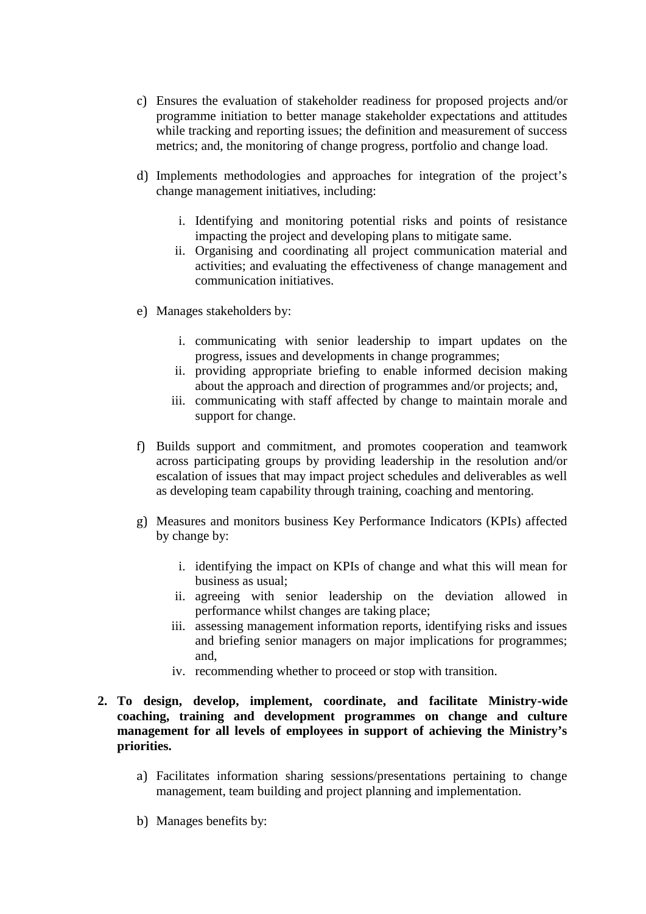- c) Ensures the evaluation of stakeholder readiness for proposed projects and/or programme initiation to better manage stakeholder expectations and attitudes while tracking and reporting issues; the definition and measurement of success metrics; and, the monitoring of change progress, portfolio and change load.
- d) Implements methodologies and approaches for integration of the project's change management initiatives, including:
	- i. Identifying and monitoring potential risks and points of resistance impacting the project and developing plans to mitigate same.
	- ii. Organising and coordinating all project communication material and activities; and evaluating the effectiveness of change management and communication initiatives.
- e) Manages stakeholders by:
	- i. communicating with senior leadership to impart updates on the progress, issues and developments in change programmes;
	- ii. providing appropriate briefing to enable informed decision making about the approach and direction of programmes and/or projects; and,
	- iii. communicating with staff affected by change to maintain morale and support for change.
- f) Builds support and commitment, and promotes cooperation and teamwork across participating groups by providing leadership in the resolution and/or escalation of issues that may impact project schedules and deliverables as well as developing team capability through training, coaching and mentoring.
- g) Measures and monitors business Key Performance Indicators (KPIs) affected by change by:
	- i. identifying the impact on KPIs of change and what this will mean for business as usual;
	- ii. agreeing with senior leadership on the deviation allowed in performance whilst changes are taking place;
	- iii. assessing management information reports, identifying risks and issues and briefing senior managers on major implications for programmes; and,
	- iv. recommending whether to proceed or stop with transition.
- **2. To design, develop, implement, coordinate, and facilitate Ministry-wide coaching, training and development programmes on change and culture management for all levels of employees in support of achieving the Ministry's priorities.**
	- a) Facilitates information sharing sessions/presentations pertaining to change management, team building and project planning and implementation.
	- b) Manages benefits by: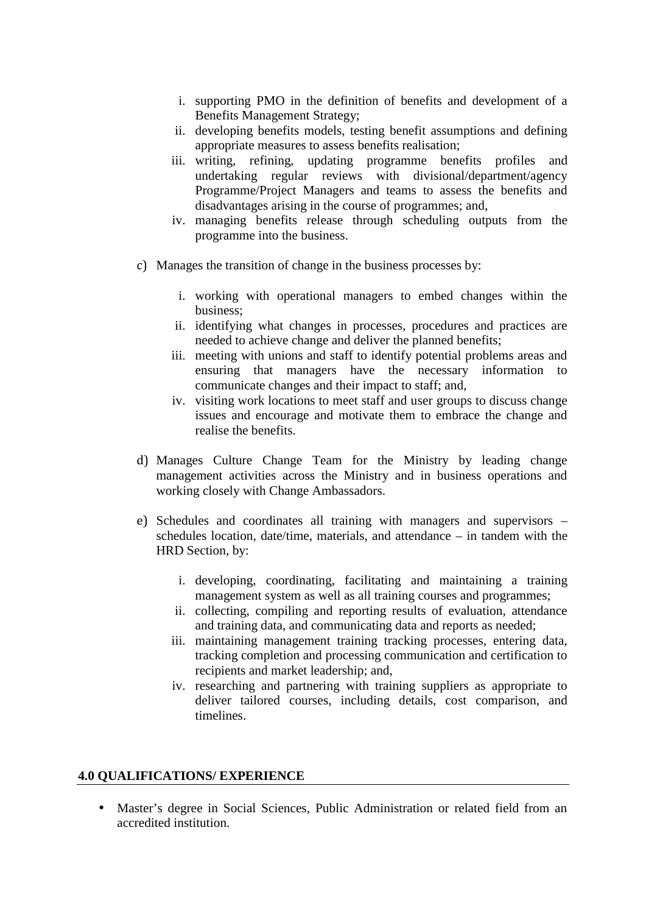- i. supporting PMO in the definition of benefits and development of a Benefits Management Strategy;
- ii. developing benefits models, testing benefit assumptions and defining appropriate measures to assess benefits realisation;
- iii. writing, refining, updating programme benefits profiles and undertaking regular reviews with divisional/department/agency Programme/Project Managers and teams to assess the benefits and disadvantages arising in the course of programmes; and,
- iv. managing benefits release through scheduling outputs from the programme into the business.
- c) Manages the transition of change in the business processes by:
	- i. working with operational managers to embed changes within the business;
	- ii. identifying what changes in processes, procedures and practices are needed to achieve change and deliver the planned benefits;
	- iii. meeting with unions and staff to identify potential problems areas and ensuring that managers have the necessary information to communicate changes and their impact to staff; and,
	- iv. visiting work locations to meet staff and user groups to discuss change issues and encourage and motivate them to embrace the change and realise the benefits.
- d) Manages Culture Change Team for the Ministry by leading change management activities across the Ministry and in business operations and working closely with Change Ambassadors.
- e) Schedules and coordinates all training with managers and supervisors schedules location, date/time, materials, and attendance – in tandem with the HRD Section, by:
	- i. developing, coordinating, facilitating and maintaining a training management system as well as all training courses and programmes;
	- ii. collecting, compiling and reporting results of evaluation, attendance and training data, and communicating data and reports as needed;
	- iii. maintaining management training tracking processes, entering data, tracking completion and processing communication and certification to recipients and market leadership; and,
	- iv. researching and partnering with training suppliers as appropriate to deliver tailored courses, including details, cost comparison, and timelines.

# **4.0 QUALIFICATIONS/ EXPERIENCE**

 Master's degree in Social Sciences, Public Administration or related field from an accredited institution.